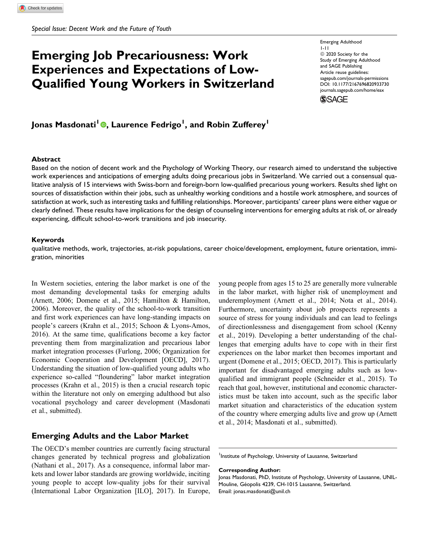# Emerging Job Precariousness: Work Experiences and Expectations of Low-Qualified Young Workers in Switzerland

Emerging Adulthood 1-11  $@$  2020 Society for the Study of Emerging Adulthood and SAGE Publishing Article reuse guidelines: [sagepub.com/journals-permissions](https://sagepub.com/journals-permissions) [DOI: 10.1177/2167696820933730](https://doi.org/10.1177/2167696820933730) [journals.sagepub.com/home/eax](http://journals.sagepub.com/home/eax)

**SSAGE** 

Jonas Masdonati<sup>l</sup> ©[,](https://orcid.org/0000-0002-1897-1425) Laurence Fedrigo<sup>l</sup>, and Robin Zufferey<sup>l</sup>

#### Abstract

Based on the notion of decent work and the Psychology of Working Theory, our research aimed to understand the subjective work experiences and anticipations of emerging adults doing precarious jobs in Switzerland. We carried out a consensual qualitative analysis of 15 interviews with Swiss-born and foreign-born low-qualified precarious young workers. Results shed light on sources of dissatisfaction within their jobs, such as unhealthy working conditions and a hostile work atmosphere, and sources of satisfaction at work, such as interesting tasks and fulfilling relationships. Moreover, participants' career plans were either vague or clearly defined. These results have implications for the design of counseling interventions for emerging adults at risk of, or already experiencing, difficult school-to-work transitions and job insecurity.

#### Keywords

qualitative methods, work, trajectories, at-risk populations, career choice/development, employment, future orientation, immigration, minorities

In Western societies, entering the labor market is one of the most demanding developmental tasks for emerging adults (Arnett, 2006; Domene et al., 2015; Hamilton & Hamilton, 2006). Moreover, the quality of the school-to-work transition and first work experiences can have long-standing impacts on people's careers (Krahn et al., 2015; Schoon & Lyons-Amos, 2016). At the same time, qualifications become a key factor preventing them from marginalization and precarious labor market integration processes (Furlong, 2006; Organization for Economic Cooperation and Development [OECD], 2017). Understanding the situation of low-qualified young adults who experience so-called "floundering" labor market integration processes (Krahn et al., 2015) is then a crucial research topic within the literature not only on emerging adulthood but also vocational psychology and career development (Masdonati et al., submitted).

# Emerging Adults and the Labor Market

The OECD's member countries are currently facing structural changes generated by technical progress and globalization (Nathani et al., 2017). As a consequence, informal labor markets and lower labor standards are growing worldwide, inciting young people to accept low-quality jobs for their survival (International Labor Organization [ILO], 2017). In Europe,

young people from ages 15 to 25 are generally more vulnerable in the labor market, with higher risk of unemployment and underemployment (Arnett et al., 2014; Nota et al., 2014). Furthermore, uncertainty about job prospects represents a source of stress for young individuals and can lead to feelings of directionlessness and disengagement from school (Kenny et al., 2019). Developing a better understanding of the challenges that emerging adults have to cope with in their first experiences on the labor market then becomes important and urgent (Domene et al., 2015; OECD, 2017). This is particularly important for disadvantaged emerging adults such as lowqualified and immigrant people (Schneider et al., 2015). To reach that goal, however, institutional and economic characteristics must be taken into account, such as the specific labor market situation and characteristics of the education system of the country where emerging adults live and grow up (Arnett et al., 2014; Masdonati et al., submitted).

<sup>1</sup>Institute of Psychology, University of Lausanne, Switzerland

Corresponding Author:

Jonas Masdonati, PhD, Institute of Psychology, University of Lausanne, UNIL-Mouline, Géopolis 4239, CH-1015 Lausanne, Switzerland. Email: [jonas.masdonati@unil.ch](mailto:jonas.masdonati@unil.ch)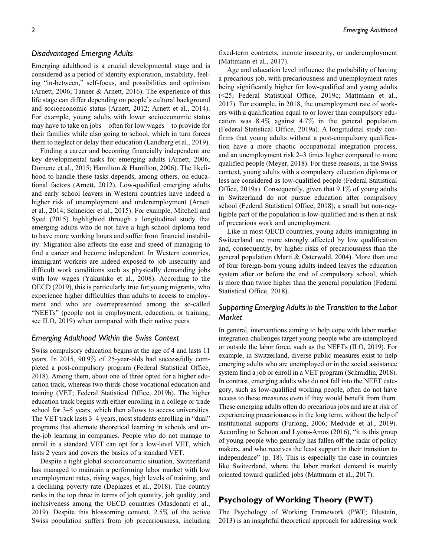## Disadvantaged Emerging Adults

Emerging adulthood is a crucial developmental stage and is considered as a period of identity exploration, instability, feeling "in-between," self-focus, and possibilities and optimism (Arnett, 2006; Tanner & Arnett, 2016). The experience of this life stage can differ depending on people's cultural background and socioeconomic status (Arnett, 2012; Arnett et al., 2014). For example, young adults with lower socioeconomic status may have to take on jobs—often for low wages—to provide for their families while also going to school, which in turn forces them to neglect or delay their education (Landberg et al., 2019).

Finding a career and becoming financially independent are key developmental tasks for emerging adults (Arnett, 2006; Domene et al., 2015; Hamilton & Hamilton, 2006). The likelihood to handle these tasks depends, among others, on educational factors (Arnett, 2012). Low-qualified emerging adults and early school leavers in Western countries have indeed a higher risk of unemployment and underemployment (Arnett et al., 2014; Schneider et al., 2015). For example, Mitchell and Syed (2015) highlighted through a longitudinal study that emerging adults who do not have a high school diploma tend to have more working hours and suffer from financial instability. Migration also affects the ease and speed of managing to find a career and become independent. In Western countries, immigrant workers are indeed exposed to job insecurity and difficult work conditions such as physically demanding jobs with low wages (Yakushko et al., 2008). According to the OECD (2019), this is particularly true for young migrants, who experience higher difficulties than adults to access to employment and who are overrepresented among the so-called "NEETs" (people not in employment, education, or training; see ILO, 2019) when compared with their native peers.

#### Emerging Adulthood Within the Swiss Context

Swiss compulsory education begins at the age of 4 and lasts 11 years. In 2015, 90.9% of 25-year-olds had successfully completed a post-compulsory program (Federal Statistical Office, 2018). Among them, about one of three opted for a higher education track, whereas two thirds chose vocational education and training (VET; Federal Statistical Office, 2019b). The higher education track begins with either enrolling in a college or trade school for 3–5 years, which then allows to access universities. The VET track lasts 3–4 years, most students enrolling in "dual" programs that alternate theoretical learning in schools and onthe-job learning in companies. People who do not manage to enroll in a standard VET can opt for a low-level VET, which lasts 2 years and covers the basics of a standard VET.

Despite a tight global socioeconomic situation, Switzerland has managed to maintain a performing labor market with low unemployment rates, rising wages, high levels of training, and a declining poverty rate (Deplazes et al., 2018). The country ranks in the top three in terms of job quantity, job quality, and inclusiveness among the OECD countries (Masdonati et al., 2019). Despite this blossoming context, 2.5% of the active Swiss population suffers from job precariousness, including

fixed-term contracts, income insecurity, or underemployment (Mattmann et al., 2017).

Age and education level influence the probability of having a precarious job, with precariousness and unemployment rates being significantly higher for low-qualified and young adults (<25; Federal Statistical Office, 2019c; Mattmann et al., 2017). For example, in 2018, the unemployment rate of workers with a qualification equal to or lower than compulsory education was 8.4% against 4.7% in the general population (Federal Statistical Office, 2019a). A longitudinal study confirms that young adults without a post-compulsory qualification have a more chaotic occupational integration process, and an unemployment risk 2–3 times higher compared to more qualified people (Meyer, 2018). For these reasons, in the Swiss context, young adults with a compulsory education diploma or less are considered as low-qualified people (Federal Statistical Office, 2019a). Consequently, given that 9.1% of young adults in Switzerland do not pursue education after compulsory school (Federal Statistical Office, 2018), a small but non-negligible part of the population is low-qualified and is then at risk of precarious work and unemployment.

Like in most OECD countries, young adults immigrating in Switzerland are more strongly affected by low qualification and, consequently, by higher risks of precariousness than the general population (Marti & Osterwald, 2004). More than one of four foreign-born young adults indeed leaves the education system after or before the end of compulsory school, which is more than twice higher than the general population (Federal Statistical Office, 2018).

# Supporting Emerging Adults in the Transition to the Labor **Market**

In general, interventions aiming to help cope with labor market integration challenges target young people who are unemployed or outside the labor force, such as the NEETs (ILO, 2019). For example, in Switzerland, diverse public measures exist to help emerging adults who are unemployed or in the social assistance system find a job or enroll in a VET program (Schmidlin, 2018). In contrast, emerging adults who do not fall into the NEET category, such as low-qualified working people, often do not have access to these measures even if they would benefit from them. These emerging adults often do precarious jobs and are at risk of experiencing precariousness in the long term, without the help of institutional supports (Furlong, 2006; Medvide et al., 2019). According to Schoon and Lyons-Amos (2016), "it is this group of young people who generally has fallen off the radar of policy makers, and who receives the least support in their transition to independence" (p. 18). This is especially the case in countries like Switzerland, where the labor market demand is mainly oriented toward qualified jobs (Mattmann et al., 2017).

# Psychology of Working Theory (PWT)

The Psychology of Working Framework (PWF; Blustein, 2013) is an insightful theoretical approach for addressing work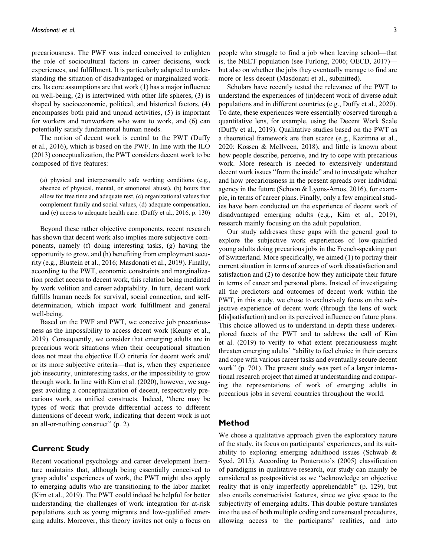precariousness. The PWF was indeed conceived to enlighten the role of sociocultural factors in career decisions, work experiences, and fulfillment. It is particularly adapted to understanding the situation of disadvantaged or marginalized workers. Its core assumptions are that work (1) has a major influence on well-being, (2) is intertwined with other life spheres, (3) is shaped by socioeconomic, political, and historical factors, (4) encompasses both paid and unpaid activities, (5) is important for workers and nonworkers who want to work, and (6) can potentially satisfy fundamental human needs.

The notion of decent work is central to the PWT (Duffy et al., 2016), which is based on the PWF. In line with the ILO (2013) conceptualization, the PWT considers decent work to be composed of five features:

(a) physical and interpersonally safe working conditions (e.g., absence of physical, mental, or emotional abuse), (b) hours that allow for free time and adequate rest, (c) organizational values that complement family and social values, (d) adequate compensation, and (e) access to adequate health care. (Duffy et al., 2016, p. 130)

Beyond these rather objective components, recent research has shown that decent work also implies more subjective components, namely (f) doing interesting tasks, (g) having the opportunity to grow, and (h) benefiting from employment security (e.g., Blustein et al., 2016; Masdonati et al., 2019). Finally, according to the PWT, economic constraints and marginalization predict access to decent work, this relation being mediated by work volition and career adaptability. In turn, decent work fulfills human needs for survival, social connection, and selfdetermination, which impact work fulfillment and general well-being.

Based on the PWF and PWT, we conceive job precariousness as the impossibility to access decent work (Kenny et al., 2019). Consequently, we consider that emerging adults are in precarious work situations when their occupational situation does not meet the objective ILO criteria for decent work and/ or its more subjective criteria—that is, when they experience job insecurity, uninteresting tasks, or the impossibility to grow through work. In line with Kim et al. (2020), however, we suggest avoiding a conceptualization of decent, respectively precarious work, as unified constructs. Indeed, "there may be types of work that provide differential access to different dimensions of decent work, indicating that decent work is not an all-or-nothing construct" (p. 2).

# Current Study

Recent vocational psychology and career development literature maintains that, although being essentially conceived to grasp adults' experiences of work, the PWT might also apply to emerging adults who are transitioning to the labor market (Kim et al., 2019). The PWT could indeed be helpful for better understanding the challenges of work integration for at-risk populations such as young migrants and low-qualified emerging adults. Moreover, this theory invites not only a focus on

people who struggle to find a job when leaving school—that is, the NEET population (see Furlong, 2006; OECD, 2017) but also on whether the jobs they eventually manage to find are more or less decent (Masdonati et al., submitted).

Scholars have recently tested the relevance of the PWT to understand the experiences of (in)decent work of diverse adult populations and in different countries (e.g., Duffy et al., 2020). To date, these experiences were essentially observed through a quantitative lens, for example, using the Decent Work Scale (Duffy et al., 2019). Qualitative studies based on the PWT as a theoretical framework are then scarce (e.g., Kazimna et al., 2020; Kossen & McIlveen, 2018), and little is known about how people describe, perceive, and try to cope with precarious work. More research is needed to extensively understand decent work issues "from the inside" and to investigate whether and how precariousness in the present spreads over individual agency in the future (Schoon & Lyons-Amos, 2016), for example, in terms of career plans. Finally, only a few empirical studies have been conducted on the experience of decent work of disadvantaged emerging adults (e.g., Kim et al., 2019), research mainly focusing on the adult population.

Our study addresses these gaps with the general goal to explore the subjective work experiences of low-qualified young adults doing precarious jobs in the French-speaking part of Switzerland. More specifically, we aimed (1) to portray their current situation in terms of sources of work dissatisfaction and satisfaction and (2) to describe how they anticipate their future in terms of career and personal plans. Instead of investigating all the predictors and outcomes of decent work within the PWT, in this study, we chose to exclusively focus on the subjective experience of decent work (through the lens of work [dis]satisfaction) and on its perceived influence on future plans. This choice allowed us to understand in-depth these underexplored facets of the PWT and to address the call of Kim et al. (2019) to verify to what extent precariousness might threaten emerging adults' "ability to feel choice in their careers and cope with various career tasks and eventually secure decent work" (p. 701). The present study was part of a larger international research project that aimed at understanding and comparing the representations of work of emerging adults in precarious jobs in several countries throughout the world.

## Method

We chose a qualitative approach given the exploratory nature of the study, its focus on participants' experiences, and its suitability to exploring emerging adulthood issues (Schwab & Syed, 2015). According to Ponterotto's (2005) classification of paradigms in qualitative research, our study can mainly be considered as postpositivist as we "acknowledge an objective reality that is only imperfectly apprehendable" (p. 129), but also entails constructivist features, since we give space to the subjectivity of emerging adults. This double posture translates into the use of both multiple coding and consensual procedures, allowing access to the participants' realities, and into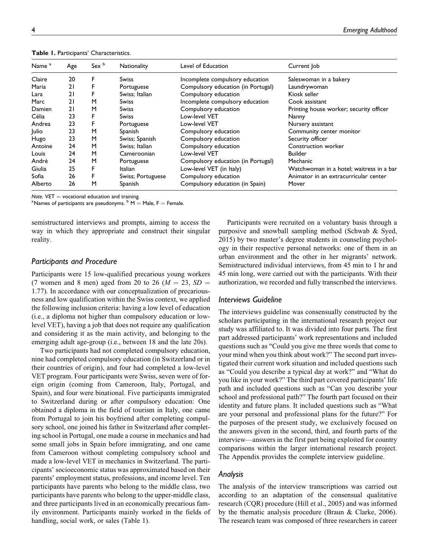| Name <sup>a</sup> | Age | Sex <sup>b</sup> | <b>Nationality</b> | Level of Education                 | Current Job                              |
|-------------------|-----|------------------|--------------------|------------------------------------|------------------------------------------|
| Claire            | 20  | F                | <b>Swiss</b>       | Incomplete compulsory education    | Saleswoman in a bakery                   |
| Maria             | 21  | F                | Portuguese         | Compulsory education (in Portugal) | Laundrywoman                             |
| Lara              | 21  | F                | Swiss: Italian     | Compulsory education               | Kiosk seller                             |
| Marc              | 21  | M                | Swiss              | Incomplete compulsory education    | Cook assistant                           |
| Damien            | 21  | м                | Swiss              | Compulsory education               | Printing house worker; security officer  |
| Célia             | 23  | F                | Swiss              | Low-level VET                      | Nanny                                    |
| Andrea            | 23  | F                | Portuguese         | Low-level VET                      | Nursery assistant                        |
| Julio             | 23  | M                | Spanish            | Compulsory education               | Community center monitor                 |
| Hugo              | 23  | M                | Swiss; Spanish     | Compulsory education               | Security officer                         |
| Antoine           | 24  | M                | Swiss: Italian     | Compulsory education               | Construction worker                      |
| Louis             | 24  | M                | Cameroonian        | Low-level VET                      | <b>Builder</b>                           |
| André             | 24  | M                | Portuguese         | Compulsory education (in Portugal) | Mechanic                                 |
| Giulia            | 25  | F                | <b>Italian</b>     | Low-level VET (in Italy)           | Watchwoman in a hotel; waitress in a bar |
| Sofia             | 26  | F                | Swiss; Portuguese  | Compulsory education               | Animator in an extracurricular center    |
| Alberto           | 26  | M                | Spanish            | Compulsory education (in Spain)    | Mover                                    |

Table 1. Participants' Characteristics.

Note.  $VET = vocational$  education and training.

<sup>a</sup> Names of participants are pseudonyms.  $b$  M  $=$  Male, F  $=$  Female.

semistructured interviews and prompts, aiming to access the way in which they appropriate and construct their singular reality.

#### Participants and Procedure

Participants were 15 low-qualified precarious young workers (7 women and 8 men) aged from 20 to 26 ( $M = 23$ ,  $SD =$ 1.77). In accordance with our conceptualization of precariousness and low qualification within the Swiss context, we applied the following inclusion criteria: having a low level of education (i.e., a diploma not higher than compulsory education or lowlevel VET), having a job that does not require any qualification and considering it as the main activity, and belonging to the emerging adult age-group (i.e., between 18 and the late 20s).

Two participants had not completed compulsory education, nine had completed compulsory education (in Switzerland or in their countries of origin), and four had completed a low-level VET program. Four participants were Swiss, seven were of foreign origin (coming from Cameroon, Italy, Portugal, and Spain), and four were binational. Five participants immigrated to Switzerland during or after compulsory education: One obtained a diploma in the field of tourism in Italy, one came from Portugal to join his boyfriend after completing compulsory school, one joined his father in Switzerland after completing school in Portugal, one made a course in mechanics and had some small jobs in Spain before immigrating, and one came from Cameroon without completing compulsory school and made a low-level VET in mechanics in Switzerland. The participants' socioeconomic status was approximated based on their parents' employment status, professions, and income level. Ten participants have parents who belong to the middle class, two participants have parents who belong to the upper-middle class, and three participants lived in an economically precarious family environment. Participants mainly worked in the fields of handling, social work, or sales (Table 1).

Participants were recruited on a voluntary basis through a purposive and snowball sampling method (Schwab & Syed, 2015) by two master's degree students in counseling psychology in their respective personal networks: one of them in an urban environment and the other in her migrants' network. Semistructured individual interviews, from 45 min to 1 hr and 45 min long, were carried out with the participants. With their authorization, we recorded and fully transcribed the interviews.

## Interviews Guideline

The interviews guideline was consensually constructed by the scholars participating in the international research project our study was affiliated to. It was divided into four parts. The first part addressed participants' work representations and included questions such as "Could you give me three words that come to your mind when you think about work?" The second part investigated their current work situation and included questions such as "Could you describe a typical day at work?" and "What do you like in your work?" The third part covered participants' life path and included questions such as "Can you describe your school and professional path?" The fourth part focused on their identity and future plans. It included questions such as "What are your personal and professional plans for the future?" For the purposes of the present study, we exclusively focused on the answers given in the second, third, and fourth parts of the interview—answers in the first part being exploited for country comparisons within the larger international research project. The Appendix provides the complete interview guideline.

## Analysis

The analysis of the interview transcriptions was carried out according to an adaptation of the consensual qualitative research (CQR) procedure (Hill et al., 2005) and was informed by the thematic analysis procedure (Braun & Clarke, 2006). The research team was composed of three researchers in career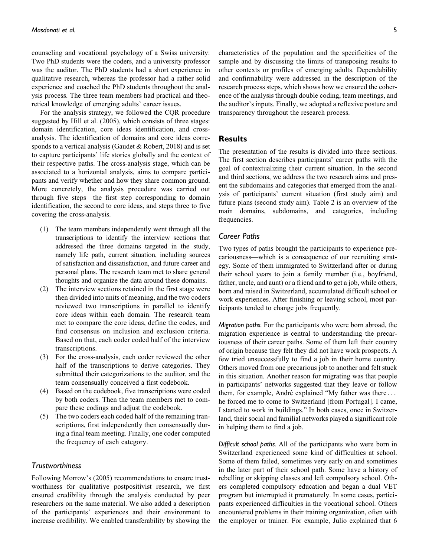counseling and vocational psychology of a Swiss university: Two PhD students were the coders, and a university professor was the auditor. The PhD students had a short experience in qualitative research, whereas the professor had a rather solid experience and coached the PhD students throughout the analysis process. The three team members had practical and theoretical knowledge of emerging adults' career issues.

For the analysis strategy, we followed the CQR procedure suggested by Hill et al. (2005), which consists of three stages: domain identification, core ideas identification, and crossanalysis. The identification of domains and core ideas corresponds to a vertical analysis (Gaudet & Robert, 2018) and is set to capture participants' life stories globally and the context of their respective paths. The cross-analysis stage, which can be associated to a horizontal analysis, aims to compare participants and verify whether and how they share common ground. More concretely, the analysis procedure was carried out through five steps—the first step corresponding to domain identification, the second to core ideas, and steps three to five covering the cross-analysis.

- (1) The team members independently went through all the transcriptions to identify the interview sections that addressed the three domains targeted in the study, namely life path, current situation, including sources of satisfaction and dissatisfaction, and future career and personal plans. The research team met to share general thoughts and organize the data around these domains.
- (2) The interview sections retained in the first stage were then divided into units of meaning, and the two coders reviewed two transcriptions in parallel to identify core ideas within each domain. The research team met to compare the core ideas, define the codes, and find consensus on inclusion and exclusion criteria. Based on that, each coder coded half of the interview transcriptions.
- (3) For the cross-analysis, each coder reviewed the other half of the transcriptions to derive categories. They submitted their categorizations to the auditor, and the team consensually conceived a first codebook.
- (4) Based on the codebook, five transcriptions were coded by both coders. Then the team members met to compare these codings and adjust the codebook.
- (5) The two coders each coded half of the remaining transcriptions, first independently then consensually during a final team meeting. Finally, one coder computed the frequency of each category.

# **Trustworthiness**

Following Morrow's (2005) recommendations to ensure trustworthiness for qualitative postpositivist research, we first ensured credibility through the analysis conducted by peer researchers on the same material. We also added a description of the participants' experiences and their environment to increase credibility. We enabled transferability by showing the characteristics of the population and the specificities of the sample and by discussing the limits of transposing results to other contexts or profiles of emerging adults. Dependability and confirmability were addressed in the description of the research process steps, which shows how we ensured the coherence of the analysis through double coding, team meetings, and the auditor's inputs. Finally, we adopted a reflexive posture and transparency throughout the research process.

## Results

The presentation of the results is divided into three sections. The first section describes participants' career paths with the goal of contextualizing their current situation. In the second and third sections, we address the two research aims and present the subdomains and categories that emerged from the analysis of participants' current situation (first study aim) and future plans (second study aim). Table 2 is an overview of the main domains, subdomains, and categories, including frequencies.

## Career Paths

Two types of paths brought the participants to experience precariousness—which is a consequence of our recruiting strategy. Some of them immigrated to Switzerland after or during their school years to join a family member (i.e., boyfriend, father, uncle, and aunt) or a friend and to get a job, while others, born and raised in Switzerland, accumulated difficult school or work experiences. After finishing or leaving school, most participants tended to change jobs frequently.

Migration paths. For the participants who were born abroad, the migration experience is central to understanding the precariousness of their career paths. Some of them left their country of origin because they felt they did not have work prospects. A few tried unsuccessfully to find a job in their home country. Others moved from one precarious job to another and felt stuck in this situation. Another reason for migrating was that people in participants' networks suggested that they leave or follow them, for example, André explained "My father was there  $\dots$ he forced me to come to Switzerland [from Portugal]. I came, I started to work in buildings." In both cases, once in Switzerland, their social and familial networks played a significant role in helping them to find a job.

Difficult school paths. All of the participants who were born in Switzerland experienced some kind of difficulties at school. Some of them failed, sometimes very early on and sometimes in the later part of their school path. Some have a history of rebelling or skipping classes and left compulsory school. Others completed compulsory education and began a dual VET program but interrupted it prematurely. In some cases, participants experienced difficulties in the vocational school. Others encountered problems in their training organization, often with the employer or trainer. For example, Julio explained that 6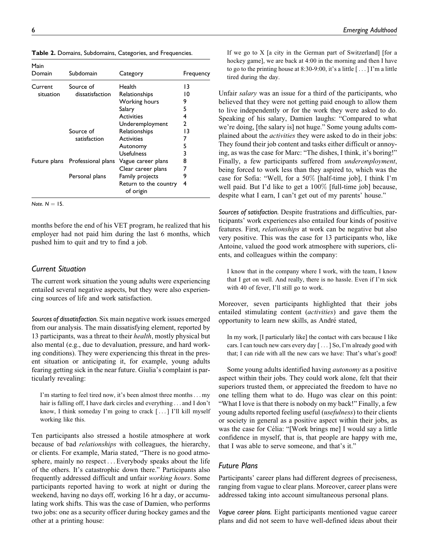Table 2. Domains, Subdomains, Categories, and Frequencies.

| Main<br>Domain | Subdomain                       | Category                           | Frequency |
|----------------|---------------------------------|------------------------------------|-----------|
| Current        | Source of                       | Health                             | 13        |
| situation      | dissatisfaction                 | Relationships                      | 10        |
|                |                                 | Working hours                      | 9         |
|                |                                 | Salary                             | 5         |
|                |                                 | <b>Activities</b>                  | 4         |
|                |                                 | Underemployment                    | 2         |
|                | Source of                       | Relationships                      | 13        |
|                | satisfaction                    | <b>Activities</b>                  | 7         |
|                |                                 | Autonomy                           | 5         |
|                |                                 | Usefulness                         | 3         |
|                | Future plans Professional plans | Vague career plans                 | 8         |
|                |                                 | Clear career plans                 | 7         |
|                | Personal plans                  | Family projects                    | 9         |
|                |                                 | Return to the country<br>of origin | 4         |

Note.  $N = 15$ .

months before the end of his VET program, he realized that his employer had not paid him during the last 6 months, which pushed him to quit and try to find a job.

## Current Situation

The current work situation the young adults were experiencing entailed several negative aspects, but they were also experiencing sources of life and work satisfaction.

Sources of dissatisfaction. Six main negative work issues emerged from our analysis. The main dissatisfying element, reported by 13 participants, was a threat to their health, mostly physical but also mental (e.g., due to devaluation, pressure, and hard working conditions). They were experiencing this threat in the present situation or anticipating it, for example, young adults fearing getting sick in the near future. Giulia's complaint is particularly revealing:

I'm starting to feel tired now, it's been almost three months... my hair is falling off, I have dark circles and everything ... and I don't know, I think someday I'm going to crack [ ...] I'll kill myself working like this.

Ten participants also stressed a hostile atmosphere at work because of bad relationships with colleagues, the hierarchy, or clients. For example, Maria stated, "There is no good atmosphere, mainly no respect ... Everybody speaks about the life of the others. It's catastrophic down there." Participants also frequently addressed difficult and unfair working hours. Some participants reported having to work at night or during the weekend, having no days off, working 16 hr a day, or accumulating work shifts. This was the case of Damien, who performs two jobs: one as a security officer during hockey games and the other at a printing house:

If we go to X [a city in the German part of Switzerland] [for a hockey game], we are back at 4:00 in the morning and then I have to go to the printing house at 8:30-9:00, it's a little [ ...] I'm a little tired during the day.

Unfair salary was an issue for a third of the participants, who believed that they were not getting paid enough to allow them to live independently or for the work they were asked to do. Speaking of his salary, Damien laughs: "Compared to what we're doing, [the salary is] not huge." Some young adults complained about the *activities* they were asked to do in their jobs: They found their job content and tasks either difficult or annoying, as was the case for Marc: "The dishes, I think, it's boring!" Finally, a few participants suffered from *underemployment*, being forced to work less than they aspired to, which was the case for Sofia: "Well, for a 50% [half-time job], I think I'm well paid. But I'd like to get a 100% [full-time job] because, despite what I earn, I can't get out of my parents' house."

Sources of satisfaction. Despite frustrations and difficulties, participants' work experiences also entailed four kinds of positive features. First, relationships at work can be negative but also very positive. This was the case for 13 participants who, like Antoine, valued the good work atmosphere with superiors, clients, and colleagues within the company:

I know that in the company where I work, with the team, I know that I get on well. And really, there is no hassle. Even if I'm sick with 40 of fever, I'll still go to work.

Moreover, seven participants highlighted that their jobs entailed stimulating content (activities) and gave them the opportunity to learn new skills, as André stated,

In my work, [I particularly like] the contact with cars because I like cars. I can touch new cars every day [... ] So, I'm already good with that; I can ride with all the new cars we have: That's what's good!

Some young adults identified having autonomy as a positive aspect within their jobs. They could work alone, felt that their superiors trusted them, or appreciated the freedom to have no one telling them what to do. Hugo was clear on this point: "What I love is that there is nobody on my back!" Finally, a few young adults reported feeling useful (usefulness) to their clients or society in general as a positive aspect within their jobs, as was the case for Célia: "[Work brings me] I would say a little confidence in myself, that is, that people are happy with me, that I was able to serve someone, and that's it."

# Future Plans

Participants' career plans had different degrees of preciseness, ranging from vague to clear plans. Moreover, career plans were addressed taking into account simultaneous personal plans.

Vague career plans. Eight participants mentioned vague career plans and did not seem to have well-defined ideas about their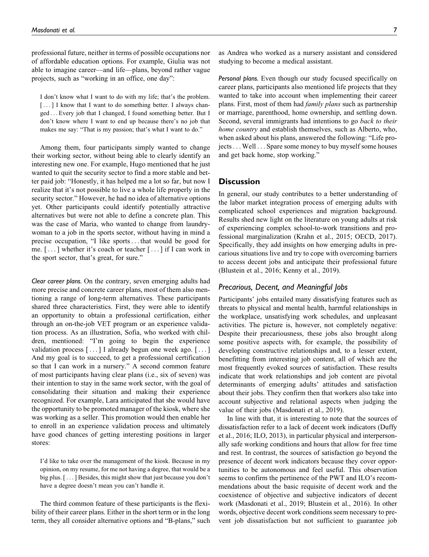professional future, neither in terms of possible occupations nor of affordable education options. For example, Giulia was not able to imagine career—and life—plans, beyond rather vague projects, such as "working in an office, one day":

I don't know what I want to do with my life; that's the problem. [...] I know that I want to do something better. I always changed ... Every job that I changed, I found something better. But I don't know where I want to end up because there's no job that makes me say: "That is my passion; that's what I want to do."

Among them, four participants simply wanted to change their working sector, without being able to clearly identify an interesting new one. For example, Hugo mentioned that he just wanted to quit the security sector to find a more stable and better paid job: "Honestly, it has helped me a lot so far, but now I realize that it's not possible to live a whole life properly in the security sector." However, he had no idea of alternative options yet. Other participants could identify potentially attractive alternatives but were not able to define a concrete plan. This was the case of Maria, who wanted to change from laundrywoman to a job in the sports sector, without having in mind a precise occupation, "I like sports... that would be good for me. [ ... ] whether it's coach or teacher [ ... ] if I can work in the sport sector, that's great, for sure."

Clear career plans. On the contrary, seven emerging adults had more precise and concrete career plans, most of them also mentioning a range of long-term alternatives. These participants shared three characteristics. First, they were able to identify an opportunity to obtain a professional certification, either through an on-the-job VET program or an experience validation process. As an illustration, Sofia, who worked with children, mentioned: "I'm going to begin the experience validation process [ ... ] I already begun one week ago. [ ... ] And my goal is to succeed, to get a professional certification so that I can work in a nursery." A second common feature of most participants having clear plans (i.e., six of seven) was their intention to stay in the same work sector, with the goal of consolidating their situation and making their experience recognized. For example, Lara anticipated that she would have the opportunity to be promoted manager of the kiosk, where she was working as a seller. This promotion would then enable her to enroll in an experience validation process and ultimately have good chances of getting interesting positions in larger stores:

I'd like to take over the management of the kiosk. Because in my opinion, on my resume, for me not having a degree, that would be a big plus. [ ...] Besides, this might show that just because you don't have a degree doesn't mean you can't handle it.

The third common feature of these participants is the flexibility of their career plans. Either in the short term or in the long term, they all consider alternative options and "B-plans," such as Andrea who worked as a nursery assistant and considered studying to become a medical assistant.

Personal plans. Even though our study focused specifically on career plans, participants also mentioned life projects that they wanted to take into account when implementing their career plans. First, most of them had family plans such as partnership or marriage, parenthood, home ownership, and settling down. Second, several immigrants had intentions to go back to their home country and establish themselves, such as Alberto, who, when asked about his plans, answered the following: "Life projects... Well ... Spare some money to buy myself some houses and get back home, stop working."

# **Discussion**

In general, our study contributes to a better understanding of the labor market integration process of emerging adults with complicated school experiences and migration background. Results shed new light on the literature on young adults at risk of experiencing complex school-to-work transitions and professional marginalization (Krahn et al., 2015; OECD, 2017). Specifically, they add insights on how emerging adults in precarious situations live and try to cope with overcoming barriers to access decent jobs and anticipate their professional future (Blustein et al., 2016; Kenny et al., 2019).

# Precarious, Decent, and Meaningful Jobs

Participants' jobs entailed many dissatisfying features such as threats to physical and mental health, harmful relationships in the workplace, unsatisfying work schedules, and unpleasant activities. The picture is, however, not completely negative: Despite their precariousness, these jobs also brought along some positive aspects with, for example, the possibility of developing constructive relationships and, to a lesser extent, benefitting from interesting job content, all of which are the most frequently evoked sources of satisfaction. These results indicate that work relationships and job content are pivotal determinants of emerging adults' attitudes and satisfaction about their jobs. They confirm then that workers also take into account subjective and relational aspects when judging the value of their jobs (Masdonati et al., 2019).

In line with that, it is interesting to note that the sources of dissatisfaction refer to a lack of decent work indicators (Duffy et al., 2016; ILO, 2013), in particular physical and interpersonally safe working conditions and hours that allow for free time and rest. In contrast, the sources of satisfaction go beyond the presence of decent work indicators because they cover opportunities to be autonomous and feel useful. This observation seems to confirm the pertinence of the PWT and ILO's recommendations about the basic requisite of decent work and the coexistence of objective and subjective indicators of decent work (Masdonati et al., 2019; Blustein et al., 2016). In other words, objective decent work conditions seem necessary to prevent job dissatisfaction but not sufficient to guarantee job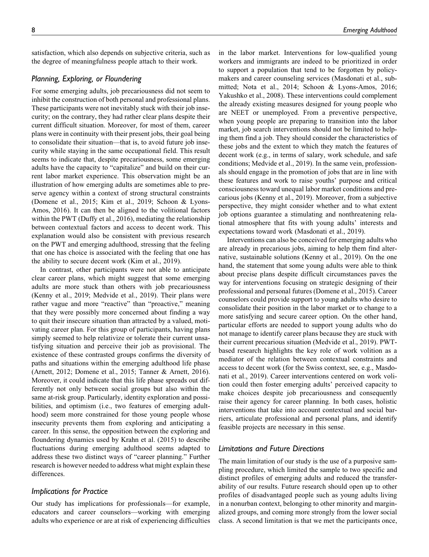satisfaction, which also depends on subjective criteria, such as the degree of meaningfulness people attach to their work.

# Planning, Exploring, or Floundering

For some emerging adults, job precariousness did not seem to inhibit the construction of both personal and professional plans. These participants were not inevitably stuck with their job insecurity; on the contrary, they had rather clear plans despite their current difficult situation. Moreover, for most of them, career plans were in continuity with their present jobs, their goal being to consolidate their situation—that is, to avoid future job insecurity while staying in the same occupational field. This result seems to indicate that, despite precariousness, some emerging adults have the capacity to "capitalize" and build on their current labor market experience. This observation might be an illustration of how emerging adults are sometimes able to preserve agency within a context of strong structural constraints (Domene et al., 2015; Kim et al., 2019; Schoon & Lyons-Amos, 2016). It can then be aligned to the volitional factors within the PWT (Duffy et al., 2016), mediating the relationship between contextual factors and access to decent work. This explanation would also be consistent with previous research on the PWT and emerging adulthood, stressing that the feeling that one has choice is associated with the feeling that one has the ability to secure decent work (Kim et al., 2019).

In contrast, other participants were not able to anticipate clear career plans, which might suggest that some emerging adults are more stuck than others with job precariousness (Kenny et al., 2019; Medvide et al., 2019). Their plans were rather vague and more "reactive" than "proactive," meaning that they were possibly more concerned about finding a way to quit their insecure situation than attracted by a valued, motivating career plan. For this group of participants, having plans simply seemed to help relativize or tolerate their current unsatisfying situation and perceive their job as provisional. The existence of these contrasted groups confirms the diversity of paths and situations within the emerging adulthood life phase (Arnett, 2012; Domene et al., 2015; Tanner & Arnett, 2016). Moreover, it could indicate that this life phase spreads out differently not only between social groups but also within the same at-risk group. Particularly, identity exploration and possibilities, and optimism (i.e., two features of emerging adulthood) seem more constrained for those young people whose insecurity prevents them from exploring and anticipating a career. In this sense, the opposition between the exploring and floundering dynamics used by Krahn et al. (2015) to describe fluctuations during emerging adulthood seems adapted to address these two distinct ways of "career planning." Further research is however needed to address what might explain these differences.

#### Implications for Practice

Our study has implications for professionals—for example, educators and career counselors—working with emerging adults who experience or are at risk of experiencing difficulties in the labor market. Interventions for low-qualified young workers and immigrants are indeed to be prioritized in order to support a population that tend to be forgotten by policymakers and career counseling services (Masdonati et al., submitted; Nota et al., 2014; Schoon & Lyons-Amos, 2016; Yakushko et al., 2008). These interventions could complement the already existing measures designed for young people who are NEET or unemployed. From a preventive perspective, when young people are preparing to transition into the labor market, job search interventions should not be limited to helping them find a job. They should consider the characteristics of these jobs and the extent to which they match the features of decent work (e.g., in terms of salary, work schedule, and safe conditions; Medvide et al., 2019). In the same vein, professionals should engage in the promotion of jobs that are in line with these features and work to raise youths' purpose and critical consciousness toward unequal labor market conditions and precarious jobs (Kenny et al., 2019). Moreover, from a subjective perspective, they might consider whether and to what extent job options guarantee a stimulating and nonthreatening relational atmosphere that fits with young adults' interests and expectations toward work (Masdonati et al., 2019).

Interventions can also be conceived for emerging adults who are already in precarious jobs, aiming to help them find alternative, sustainable solutions (Kenny et al., 2019). On the one hand, the statement that some young adults were able to think about precise plans despite difficult circumstances paves the way for interventions focusing on strategic designing of their professional and personal futures (Domene et al., 2015). Career counselors could provide support to young adults who desire to consolidate their position in the labor market or to change to a more satisfying and secure career option. On the other hand, particular efforts are needed to support young adults who do not manage to identify career plans because they are stuck with their current precarious situation (Medvide et al., 2019). PWTbased research highlights the key role of work volition as a mediator of the relation between contextual constraints and access to decent work (for the Swiss context, see, e.g., Masdonati et al., 2019). Career interventions centered on work volition could then foster emerging adults' perceived capacity to make choices despite job precariousness and consequently raise their agency for career planning. In both cases, holistic interventions that take into account contextual and social barriers, articulate professional and personal plans, and identify feasible projects are necessary in this sense.

## Limitations and Future Directions

The main limitation of our study is the use of a purposive sampling procedure, which limited the sample to two specific and distinct profiles of emerging adults and reduced the transferability of our results. Future research should open up to other profiles of disadvantaged people such as young adults living in a nonurban context, belonging to other minority and marginalized groups, and coming more strongly from the lower social class. A second limitation is that we met the participants once,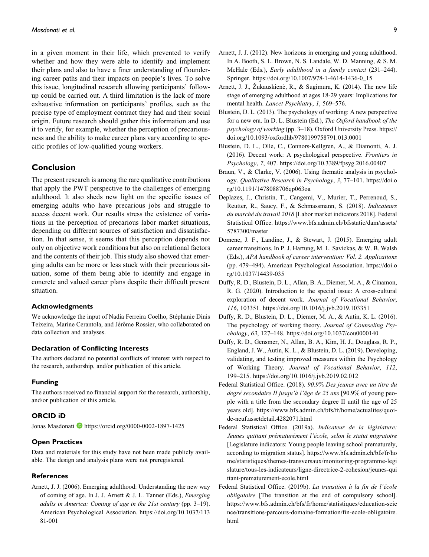in a given moment in their life, which prevented to verify whether and how they were able to identify and implement their plans and also to have a finer understanding of floundering career paths and their impacts on people's lives. To solve this issue, longitudinal research allowing participants' followup could be carried out. A third limitation is the lack of more exhaustive information on participants' profiles, such as the precise type of employment contract they had and their social origin. Future research should gather this information and use it to verify, for example, whether the perception of precariousness and the ability to make career plans vary according to specific profiles of low-qualified young workers.

# Conclusion

The present research is among the rare qualitative contributions that apply the PWT perspective to the challenges of emerging adulthood. It also sheds new light on the specific issues of emerging adults who have precarious jobs and struggle to access decent work. Our results stress the existence of variations in the perception of precarious labor market situations, depending on different sources of satisfaction and dissatisfaction. In that sense, it seems that this perception depends not only on objective work conditions but also on relational factors and the contents of their job. This study also showed that emerging adults can be more or less stuck with their precarious situation, some of them being able to identify and engage in concrete and valued career plans despite their difficult present situation.

## Acknowledgments

We acknowledge the input of Nadia Ferreira Coelho, Stéphanie Dinis Teixeira, Marine Cerantola, and Jérôme Rossier, who collaborated on data collection and analyses.

#### Declaration of Conflicting Interests

The authors declared no potential conflicts of interest with respect to the research, authorship, and/or publication of this article.

#### Funding

The authors received no financial support for the research, authorship, and/or publication of this article.

#### ORCID iD

Jonas Masdonati D <https://orcid.org/0000-0002-1897-1425>

## Open Practices

Data and materials for this study have not been made publicly available. The design and analysis plans were not preregistered.

#### References

Arnett, J. J. (2006). Emerging adulthood: Understanding the new way of coming of age. In J. J. Arnett & J. L. Tanner (Eds.), Emerging adults in America: Coming of age in the 21st century (pp. 3–19). American Psychological Association. [https://doi.org/10.1037/113](https://doi.org/10.1037/11381-001) [81-001](https://doi.org/10.1037/11381-001)

- Arnett, J. J. (2012). New horizons in emerging and young adulthood. In A. Booth, S. L. Brown, N. S. Landale, W. D. Manning, & S. M. McHale (Eds.), *Early adulthood in a family context* (231–244). Springer. [https://doi.org/10.1007/978-1-4614-1436-0\\_15](https://doi.org/10.1007/978-1-4614-1436-0_15)
- Arnett, J. J., Żukauskienė, R., & Sugimura, K. (2014). The new life stage of emerging adulthood at ages 18-29 years: Implications for mental health. Lancet Psychiatry, 1, 569-576.
- Blustein, D. L. (2013). The psychology of working: A new perspective for a new era. In D. L. Blustein (Ed.), The Oxford handbook of the psychology of working (pp. 3–18). Oxford University Press. [https://](https://doi.org/10.1093/oxfordhb/9780199758791.013.0001) [doi.org/10.1093/oxfordhb/9780199758791.013.0001](https://doi.org/10.1093/oxfordhb/9780199758791.013.0001)
- Blustein, D. L., Olle, C., Connors-Kellgren, A., & Diamonti, A. J. (2016). Decent work: A psychological perspective. Frontiers in Psychology, 7, 407.<https://doi.org/10.3389/fpsyg.2016.00407>
- Braun, V., & Clarke, V. (2006). Using thematic analysis in psychology. Qualitative Research in Psychology, 3, 77–101. [https://doi.o](https://doi.org/10.1191/1478088706qp063oa) [rg/10.1191/1478088706qp063oa](https://doi.org/10.1191/1478088706qp063oa)
- Deplazes, J., Christin, T., Cangemi, V., Murier, T., Perrenoud, S., Reutter, R., Saucy, F., & Schmassmann, S. (2018). Indicateurs du marché du travail 2018 [Labor market indicators 2018]. Federal Statistical Office. [https://www.bfs.admin.ch/bfsstatic/dam/assets/](https://www.bfs.admin.ch/bfsstatic/dam/assets/5787300/master) [5787300/master](https://www.bfs.admin.ch/bfsstatic/dam/assets/5787300/master)
- Domene, J. F., Landine, J., & Stewart, J. (2015). Emerging adult career transitions. In P. J. Hartung, M. L. Savickas, & W. B. Walsh (Eds.), APA handbook of career intervention: Vol. 2. Applications (pp. 479–494). American Psychological Association. [https://doi.o](https://doi.org/10.1037/14439-035) [rg/10.1037/14439-035](https://doi.org/10.1037/14439-035)
- Duffy, R. D., Blustein, D. L., Allan, B. A., Diemer, M. A., & Cinamon, R. G. (2020). Introduction to the special issue: A cross-cultural exploration of decent work. Journal of Vocational Behavior, 116, 103351.<https://doi.org/10.1016/j.jvb.2019.103351>
- Duffy, R. D., Blustein, D. L., Diemer, M. A., & Autin, K. L. (2016). The psychology of working theory. Journal of Counseling Psychology, 63, 127–148.<https://doi.org/10.1037/cou0000140>
- Duffy, R. D., Gensmer, N., Allan, B. A., Kim, H. J., Douglass, R. P., England, J. W., Autin, K. L., & Blustein, D. L. (2019). Developing, validating, and testing improved measures within the Psychology of Working Theory. Journal of Vocational Behavior, 112, 199–215.<https://doi.org/10.1016/j.jvb.2019.02.012>
- Federal Statistical Office. (2018). 90.9% Des jeunes avec un titre du degré secondaire II jusqu'à l'âge de 25 ans  $[90.9\%$  of young people with a title from the secondary degree II until the age of 25 years old]. [https://www.bfs.admin.ch/bfs/fr/home/actualites/quoi](https://www.bfs.admin.ch/bfs/fr/home/actualites/quoi-de-neuf.assetdetail.4282071.html)[de-neuf.assetdetail.4282071.html](https://www.bfs.admin.ch/bfs/fr/home/actualites/quoi-de-neuf.assetdetail.4282071.html)
- Federal Statistical Office. (2019a). Indicateur de la législature: Jeunes quittant prématurément l'école, selon le statut migratoire [Legislature indicators: Young people leaving school prematurely, according to migration status]. [https://www.bfs.admin.ch/bfs/fr/ho](https://www.bfs.admin.ch/bfs/fr/home/statistiques/themes-transversaux/monitoring-programme-legislature/tous-les-indicateurs/ligne-directrice-2-cohesion/jeunes-quittant-prematurement-ecole.html) [me/statistiques/themes-transversaux/monitoring-programme-legi](https://www.bfs.admin.ch/bfs/fr/home/statistiques/themes-transversaux/monitoring-programme-legislature/tous-les-indicateurs/ligne-directrice-2-cohesion/jeunes-quittant-prematurement-ecole.html) [slature/tous-les-indicateurs/ligne-directrice-2-cohesion/jeunes-qui](https://www.bfs.admin.ch/bfs/fr/home/statistiques/themes-transversaux/monitoring-programme-legislature/tous-les-indicateurs/ligne-directrice-2-cohesion/jeunes-quittant-prematurement-ecole.html) [ttant-prematurement-ecole.html](https://www.bfs.admin.ch/bfs/fr/home/statistiques/themes-transversaux/monitoring-programme-legislature/tous-les-indicateurs/ligne-directrice-2-cohesion/jeunes-quittant-prematurement-ecole.html)
- Federal Statistical Office. (2019b). La transition à la fin de l'école obligatoire [The transition at the end of compulsory school]. [https://www.bfs.admin.ch/bfs/fr/home/statistiques/education-scie](https://www.bfs.admin.ch/bfs/fr/home/statistiques/education-science/transitions-parcours-domaine-formation/fin-ecole-obligatoire.html) [nce/transitions-parcours-domaine-formation/fin-ecole-obligatoire.](https://www.bfs.admin.ch/bfs/fr/home/statistiques/education-science/transitions-parcours-domaine-formation/fin-ecole-obligatoire.html) [html](https://www.bfs.admin.ch/bfs/fr/home/statistiques/education-science/transitions-parcours-domaine-formation/fin-ecole-obligatoire.html)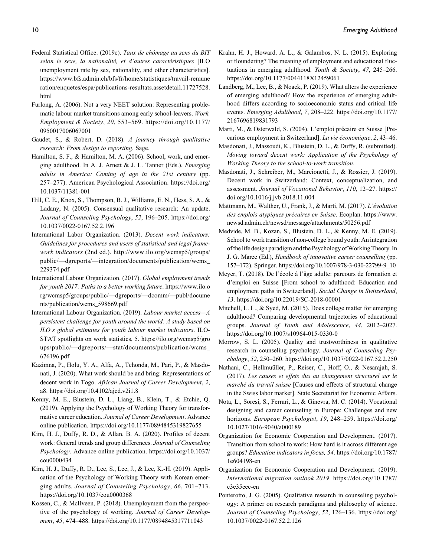- Federal Statistical Office. (2019c). Taux de chômage au sens du BIT selon le sexe, la nationalité, et d'autres caractéristiques [ILO unemployment rate by sex, nationality, and other characteristics]. [https://www.bfs.admin.ch/bfs/fr/home/statistiques/travail-remune](https://www.bfs.admin.ch/bfs/fr/home/statistiques/travail-remuneration/enquetes/espa/publications-resultats.assetdetail.11727528.html) [ration/enquetes/espa/publications-resultats.assetdetail.11727528.](https://www.bfs.admin.ch/bfs/fr/home/statistiques/travail-remuneration/enquetes/espa/publications-resultats.assetdetail.11727528.html) [html](https://www.bfs.admin.ch/bfs/fr/home/statistiques/travail-remuneration/enquetes/espa/publications-resultats.assetdetail.11727528.html)
- Furlong, A. (2006). Not a very NEET solution: Representing problematic labour market transitions among early school-leavers. Work, Employment & Society, 20, 553–569. [https://doi.org/10.1177/](https://doi.org/10.1177/0950017006067001) [0950017006067001](https://doi.org/10.1177/0950017006067001)
- Gaudet, S., & Robert, D. (2018). A journey through qualitative research: From design to reporting. Sage.
- Hamilton, S. F., & Hamilton, M. A. (2006). School, work, and emerging adulthood. In A. J. Arnett & J. L. Tanner (Eds.), Emerging adults in America: Coming of age in the 21st century (pp. 257–277). American Psychological Association. [https://doi.org/](https://doi.org/10.1037/11381-001) [10.1037/11381-001](https://doi.org/10.1037/11381-001)
- Hill, C. E., Knox, S., Thompson, B. J., Williams, E. N., Hess, S. A., & Ladany, N. (2005). Consensual qualitative research: An update. Journal of Counseling Psychology, 52, 196–205. [https://doi.org/](https://doi.org/10.1037/0022-0167.52.2.196) [10.1037/0022-0167.52.2.196](https://doi.org/10.1037/0022-0167.52.2.196)
- International Labor Organization. (2013). Decent work indicators: Guidelines for procedures and users of statistical and legal framework indicators (2nd ed.). [http://www.ilo.org/wcmsp5/groups/](http://www.ilo.org/wcmsp5/groups/public/---dgreports/---integration/documents/publication/wcms_229374.pdf) [public/—dgreports/—integration/documents/publication/wcms\\_](http://www.ilo.org/wcmsp5/groups/public/---dgreports/---integration/documents/publication/wcms_229374.pdf) [229374.pdf](http://www.ilo.org/wcmsp5/groups/public/---dgreports/---integration/documents/publication/wcms_229374.pdf)
- International Labour Organization. (2017). Global employment trends for youth 2017: Paths to a better working future. [https://www.ilo.o](https://www.ilo.org/wcmsp5/groups/public/---dgreports/---dcomm/---publ/documents/publication/wcms_598669.pdf) [rg/wcmsp5/groups/public/—dgreports/—dcomm/—publ/docume](https://www.ilo.org/wcmsp5/groups/public/---dgreports/---dcomm/---publ/documents/publication/wcms_598669.pdf) [nts/publication/wcms\\_598669.pdf](https://www.ilo.org/wcmsp5/groups/public/---dgreports/---dcomm/---publ/documents/publication/wcms_598669.pdf)
- International Labour Organization. (2019). Labour market access—A persistent challenge for youth around the world: A study based on ILO's global estimates for youth labour market indicators. ILO-STAT spotlights on work statistics, 5. [https://ilo.org/wcmsp5/gro](https://ilo.org/wcmsp5/groups/public/---dgreports/---stat/documents/publication/wcms_676196.pdf) [ups/public/—dgreports/—stat/documents/publication/wcms\\_](https://ilo.org/wcmsp5/groups/public/---dgreports/---stat/documents/publication/wcms_676196.pdf) [676196.pdf](https://ilo.org/wcmsp5/groups/public/---dgreports/---stat/documents/publication/wcms_676196.pdf)
- Kazimna, P., Holu, Y. A., Alfa, A., Tchonda, M., Pari, P., & Masdonati, J. (2020). What work should be and bring: Representations of decent work in Togo. African Journal of Career Development, 2, a8.<https://doi.org/10.4102/ajcd.v2i1.8>
- Kenny, M. E., Blustein, D. L., Liang, B., Klein, T., & Etchie, Q. (2019). Applying the Psychology of Working Theory for transformative career education. Journal of Career Development. Advance online publication.<https://doi.org/10.1177/0894845319827655>
- Kim, H. J., Duffy, R. D., & Allan, B. A. (2020). Profiles of decent work: General trends and group differences. Journal of Counseling Psychology. Advance online publication. [https://doi.org/10.1037/](https://doi.org/10.1037/cou0000434) [cou0000434](https://doi.org/10.1037/cou0000434)
- Kim, H. J., Duffy, R. D., Lee, S., Lee, J., & Lee, K.-H. (2019). Application of the Psychology of Working Theory with Korean emerging adults. Journal of Counseling Psychology, 66, 701–713. <https://doi.org/10.1037/cou0000368>
- Kossen, C., & McIlveen, P. (2018). Unemployment from the perspective of the psychology of working. Journal of Career Development, 45, 474–488.<https://doi.org/10.1177/0894845317711043>
- Krahn, H. J., Howard, A. L., & Galambos, N. L. (2015). Exploring or floundering? The meaning of employment and educational fluctuations in emerging adulthood. Youth & Society, 47, 245–266. <https://doi.org/10.1177/0044118X12459061>
- Landberg, M., Lee, B., & Noack, P. (2019). What alters the experience of emerging adulthood? How the experience of emerging adulthood differs according to socioeconomic status and critical life events. Emerging Adulthood, 7, 208–222. [https://doi.org/10.1177/](https://doi.org/10.1177/2167696819831793) [2167696819831793](https://doi.org/10.1177/2167696819831793)
- Marti, M., & Osterwald, S. (2004). L'emploi précaire en Suisse [Precarious employment in Switzerland]. La vie économique, 2, 43-46.
- Masdonati, J., Massoudi, K., Blustein, D. L., & Duffy, R. (submitted). Moving toward decent work: Application of the Psychology of Working Theory to the school-to-work transition.
- Masdonati, J., Schreiber, M., Marcionetti, J., & Rossier, J. (2019). Decent work in Switzerland: Context, conceptualization, and assessment. Journal of Vocational Behavior, 110, 12–27. [https://](https://doi.org/10.1016/j.jvb.2018.11.004) [doi.org/10.1016/j.jvb.2018.11.004](https://doi.org/10.1016/j.jvb.2018.11.004)
- Mattmann, M., Walther, U., Frank, J., & Marti, M. (2017). L'évolution des emplois atypiques précaires en Suisse. Ecoplan. [https://www.](https://www.newsd.admin.ch/newsd/message/attachments/50256.pdf) [newsd.admin.ch/newsd/message/attachments/50256.pdf](https://www.newsd.admin.ch/newsd/message/attachments/50256.pdf)
- Medvide, M. B., Kozan, S., Blustein, D. L., & Kenny, M. E. (2019). School to work transition of non-college bound youth: An integration of the life design paradigm and the Psychology of Working Theory. In J. G. Maree (Ed.), Handbook of innovative career counselling (pp. 157–172). Springer. [https://doi.org/10.1007/978-3-030-22799-9\\_10](https://doi.org/10.1007/978-3-030-22799-9_10)
- Meyer, T. (2018). De l'école à l'âge adulte: parcours de formation et d'emploi en Suisse [From school to adulthood: Education and employment paths in Switzerland]. Social Change in Switzerland, 13.<https://doi.org/10.22019/SC-2018-00001>
- Mitchell, L. L., & Syed, M. (2015). Does college matter for emerging adulthood? Comparing developmental trajectories of educational groups. Journal of Youth and Adolescence, 44, 2012–2027. <https://doi.org/10.1007/s10964-015-0330-0>
- Morrow, S. L. (2005). Quality and trustworthiness in qualitative research in counseling psychology. Journal of Counseling Psychology, 52, 250–260.<https://doi.org/10.1037/0022-0167.52.2.250>
- Nathani, C., Hellmuüller, P., Reiser, C., Hoff, O., & Nesarajah, S. (2017). Les causes et effets dus au changement structurel sur le marché du travail suisse [Causes and effects of structural change in the Swiss labor market]. State Secretariat for Economic Affairs.
- Nota, L., Soresi, S., Ferrari, L., & Ginevra, M. C. (2014). Vocational designing and career counseling in Europe: Challenges and new horizons. European Psychologist, 19, 248–259. [https://doi.org/](https://doi.org/10.1027/1016-9040/a000189) [10.1027/1016-9040/a000189](https://doi.org/10.1027/1016-9040/a000189)
- Organization for Economic Cooperation and Development. (2017). Transition from school to work: How hard is it across different age groups? Education indicators in focus, 54. [https://doi.org/10.1787/](https://doi.org/10.1787/1e604198-en) [1e604198-en](https://doi.org/10.1787/1e604198-en)
- Organization for Economic Cooperation and Development. (2019). International migration outlook 2019. [https://doi.org/10.1787/](https://doi.org/10.1787/c3e35eec-en) [c3e35eec-en](https://doi.org/10.1787/c3e35eec-en)
- Ponterotto, J. G. (2005). Qualitative research in counseling psychology: A primer on research paradigms and philosophy of science. Journal of Counseling Psychology, 52, 126–136. [https://doi.org/](https://doi.org/10.1037/0022-0167.52.2.126) [10.1037/0022-0167.52.2.126](https://doi.org/10.1037/0022-0167.52.2.126)